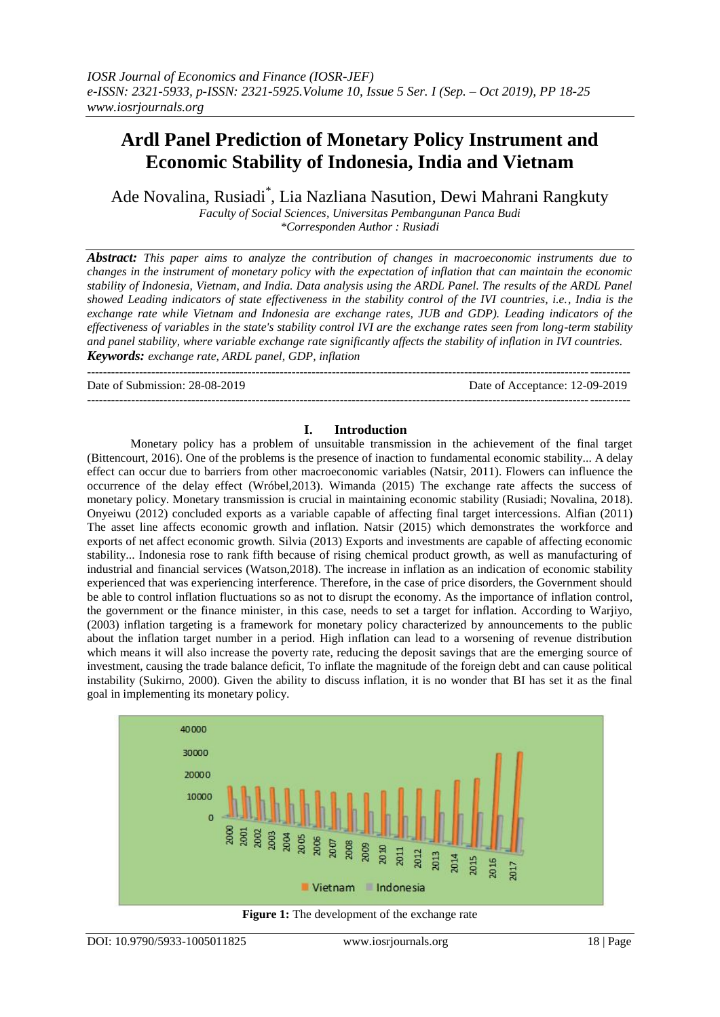# **Ardl Panel Prediction of Monetary Policy Instrument and Economic Stability of Indonesia, India and Vietnam**

Ade Novalina, Rusiadi\* , Lia Nazliana Nasution, Dewi Mahrani Rangkuty

*Faculty of Social Sciences, Universitas Pembangunan Panca Budi \*Corresponden Author : Rusiadi*

*Abstract: This paper aims to analyze the contribution of changes in macroeconomic instruments due to changes in the instrument of monetary policy with the expectation of inflation that can maintain the economic stability of Indonesia, Vietnam, and India. Data analysis using the ARDL Panel. The results of the ARDL Panel showed Leading indicators of state effectiveness in the stability control of the IVI countries, i.e., India is the exchange rate while Vietnam and Indonesia are exchange rates, JUB and GDP). Leading indicators of the effectiveness of variables in the state's stability control IVI are the exchange rates seen from long-term stability and panel stability, where variable exchange rate significantly affects the stability of inflation in IVI countries. Keywords: exchange rate, ARDL panel, GDP, inflation*

---------------------------------------------------------------------------------------------------------------------------------------

Date of Submission: 28-08-2019 Date of Acceptance: 12-09-2019

# **I. Introduction**

---------------------------------------------------------------------------------------------------------------------------------------

Monetary policy has a problem of unsuitable transmission in the achievement of the final target (Bittencourt, 2016). One of the problems is the presence of inaction to fundamental economic stability... A delay effect can occur due to barriers from other macroeconomic variables (Natsir, 2011). Flowers can influence the occurrence of the delay effect (Wróbel,2013). Wimanda (2015) The exchange rate affects the success of monetary policy. Monetary transmission is crucial in maintaining economic stability (Rusiadi; Novalina, 2018). Onyeiwu (2012) concluded exports as a variable capable of affecting final target intercessions. Alfian (2011) The asset line affects economic growth and inflation. Natsir (2015) which demonstrates the workforce and exports of net affect economic growth. Silvia (2013) Exports and investments are capable of affecting economic stability... Indonesia rose to rank fifth because of rising chemical product growth, as well as manufacturing of industrial and financial services (Watson,2018). The increase in inflation as an indication of economic stability experienced that was experiencing interference. Therefore, in the case of price disorders, the Government should be able to control inflation fluctuations so as not to disrupt the economy. As the importance of inflation control, the government or the finance minister, in this case, needs to set a target for inflation. According to Warjiyo, (2003) inflation targeting is a framework for monetary policy characterized by announcements to the public about the inflation target number in a period. High inflation can lead to a worsening of revenue distribution which means it will also increase the poverty rate, reducing the deposit savings that are the emerging source of investment, causing the trade balance deficit, To inflate the magnitude of the foreign debt and can cause political instability (Sukirno, 2000). Given the ability to discuss inflation, it is no wonder that BI has set it as the final goal in implementing its monetary policy.



**Figure 1:** The development of the exchange rate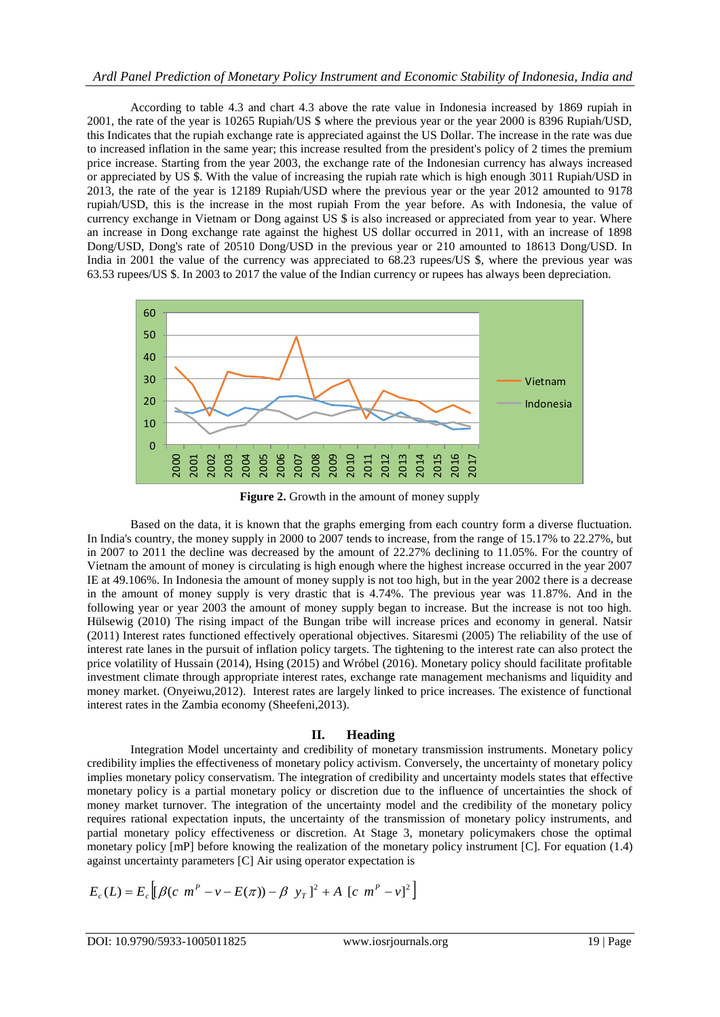# *Ardl Panel Prediction of Monetary Policy Instrument and Economic Stability of Indonesia, India and*

According to table 4.3 and chart 4.3 above the rate value in Indonesia increased by 1869 rupiah in 2001, the rate of the year is 10265 Rupiah/US \$ where the previous year or the year 2000 is 8396 Rupiah/USD, this Indicates that the rupiah exchange rate is appreciated against the US Dollar. The increase in the rate was due to increased inflation in the same year; this increase resulted from the president's policy of 2 times the premium price increase. Starting from the year 2003, the exchange rate of the Indonesian currency has always increased or appreciated by US \$. With the value of increasing the rupiah rate which is high enough 3011 Rupiah/USD in 2013, the rate of the year is 12189 Rupiah/USD where the previous year or the year 2012 amounted to 9178 rupiah/USD, this is the increase in the most rupiah From the year before. As with Indonesia, the value of currency exchange in Vietnam or Dong against US \$ is also increased or appreciated from year to year. Where an increase in Dong exchange rate against the highest US dollar occurred in 2011, with an increase of 1898 Dong/USD, Dong's rate of 20510 Dong/USD in the previous year or 210 amounted to 18613 Dong/USD. In India in 2001 the value of the currency was appreciated to 68.23 rupees/US \$, where the previous year was 63.53 rupees/US \$. In 2003 to 2017 the value of the Indian currency or rupees has always been depreciation.



**Figure 2.** Growth in the amount of money supply

Based on the data, it is known that the graphs emerging from each country form a diverse fluctuation. In India's country, the money supply in 2000 to 2007 tends to increase, from the range of 15.17% to 22.27%, but in 2007 to 2011 the decline was decreased by the amount of 22.27% declining to 11.05%. For the country of Vietnam the amount of money is circulating is high enough where the highest increase occurred in the year 2007 IE at 49.106%. In Indonesia the amount of money supply is not too high, but in the year 2002 there is a decrease in the amount of money supply is very drastic that is 4.74%. The previous year was 11.87%. And in the following year or year 2003 the amount of money supply began to increase. But the increase is not too high. Hülsewig (2010) The rising impact of the Bungan tribe will increase prices and economy in general. Natsir (2011) Interest rates functioned effectively operational objectives. Sitaresmi (2005) The reliability of the use of interest rate lanes in the pursuit of inflation policy targets. The tightening to the interest rate can also protect the price volatility of Hussain (2014), Hsing (2015) and Wróbel (2016). Monetary policy should facilitate profitable investment climate through appropriate interest rates, exchange rate management mechanisms and liquidity and money market. (Onyeiwu,2012). Interest rates are largely linked to price increases. The existence of functional interest rates in the Zambia economy (Sheefeni,2013).

# **II. Heading**

Integration Model uncertainty and credibility of monetary transmission instruments. Monetary policy credibility implies the effectiveness of monetary policy activism. Conversely, the uncertainty of monetary policy implies monetary policy conservatism. The integration of credibility and uncertainty models states that effective monetary policy is a partial monetary policy or discretion due to the influence of uncertainties the shock of money market turnover. The integration of the uncertainty model and the credibility of the monetary policy requires rational expectation inputs, the uncertainty of the transmission of monetary policy instruments, and partial monetary policy effectiveness or discretion. At Stage 3, monetary policymakers chose the optimal monetary policy [mP] before knowing the realization of the monetary policy instrument [C]. For equation (1.4) against uncertainty parameters [C] Air using operator expectation is

$$
E_c(L) = E_c \left[ \left[ \beta(c \ m^P - v - E(\pi)) - \beta y_T \right]^2 + A \left[ c \ m^P - v \right]^2 \right]
$$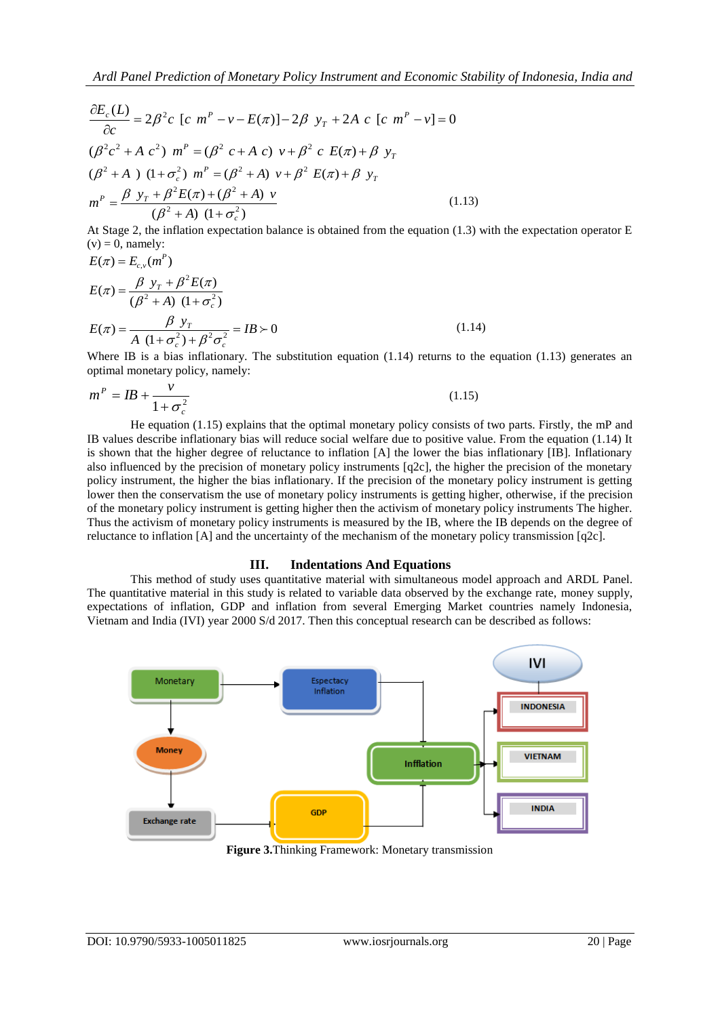Ardl Panel Prediction of Monetary Policy Instrument and Economic Stability of Indonesia, India and

\n
$$
\frac{\partial E_c(L)}{\partial c} = 2\beta^2 c \left[ c \, m^P - v - E(\pi) \right] - 2\beta \, y_T + 2A \, c \left[ c \, m^P - v \right] = 0
$$
\n
$$
(\beta^2 c^2 + A \, c^2) \, m^P = (\beta^2 \, c + A \, c) \, v + \beta^2 \, c \, E(\pi) + \beta \, y_T
$$
\n
$$
(\beta^2 + A) \, (1 + \sigma_c^2) \, m^P = (\beta^2 + A) \, v + \beta^2 \, E(\pi) + \beta \, y_T
$$
\n
$$
m^P = \frac{\beta \, y_T + \beta^2 E(\pi) + (\beta^2 + A) \, v}{(\beta^2 + A) \, (1 + \sigma_c^2)}
$$
\n(1.13)

At Stage 2, the inflation expectation balance is obtained from the equation (1.3) with the expectation operator E  $(v) = 0$ , namely:

$$
E(\pi) = E_{c,v}(m^P)
$$
  
\n
$$
E(\pi) = \frac{\beta y_r + \beta^2 E(\pi)}{(\beta^2 + A) (1 + \sigma_c^2)}
$$
  
\n
$$
E(\pi) = \frac{\beta y_r}{A (1 + \sigma_c^2) + \beta^2 \sigma_c^2} = IB \succ 0
$$
\n(1.14)

Where IB is a bias inflationary. The substitution equation  $(1.14)$  returns to the equation  $(1.13)$  generates an optimal monetary policy, namely:

$$
m^P = IB + \frac{v}{1 + \sigma_c^2} \tag{1.15}
$$

He equation (1.15) explains that the optimal monetary policy consists of two parts. Firstly, the mP and IB values describe inflationary bias will reduce social welfare due to positive value. From the equation (1.14) It is shown that the higher degree of reluctance to inflation [A] the lower the bias inflationary [IB]. Inflationary also influenced by the precision of monetary policy instruments [q2c], the higher the precision of the monetary policy instrument, the higher the bias inflationary. If the precision of the monetary policy instrument is getting lower then the conservatism the use of monetary policy instruments is getting higher, otherwise, if the precision of the monetary policy instrument is getting higher then the activism of monetary policy instruments The higher. Thus the activism of monetary policy instruments is measured by the IB, where the IB depends on the degree of reluctance to inflation [A] and the uncertainty of the mechanism of the monetary policy transmission [q2c].

# **III. Indentations And Equations**

This method of study uses quantitative material with simultaneous model approach and ARDL Panel. The quantitative material in this study is related to variable data observed by the exchange rate, money supply, expectations of inflation, GDP and inflation from several Emerging Market countries namely Indonesia, Vietnam and India (IVI) year 2000 S/d 2017. Then this conceptual research can be described as follows:



**Figure 3.**Thinking Framework: Monetary transmission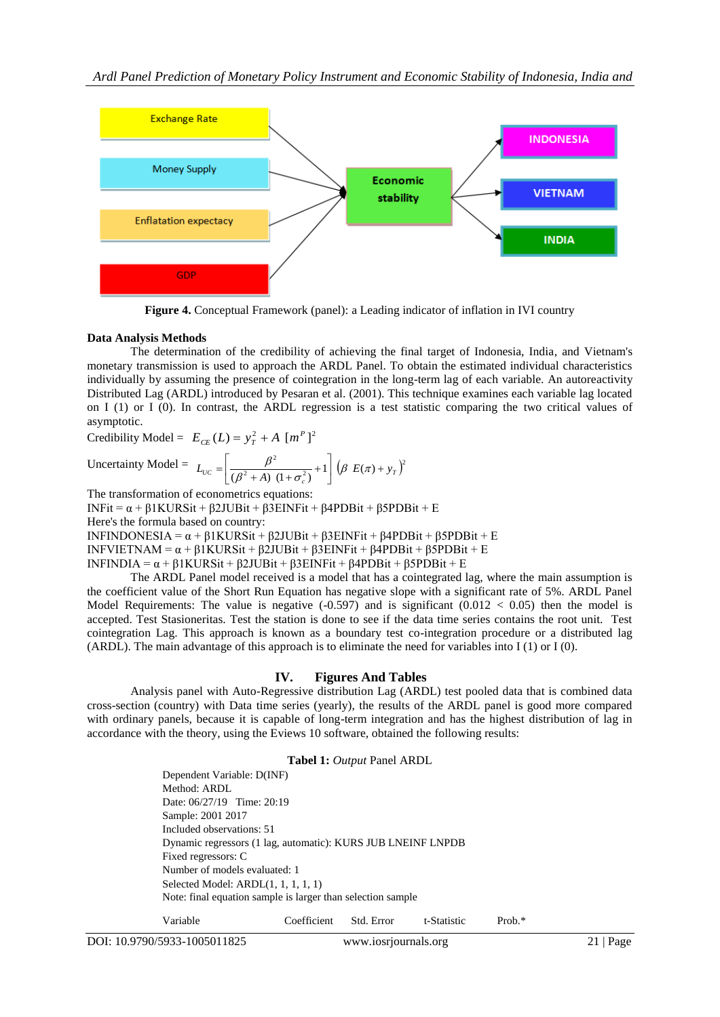

**Figure 4.** Conceptual Framework (panel): a Leading indicator of inflation in IVI country

# **Data Analysis Methods**

The determination of the credibility of achieving the final target of Indonesia, India, and Vietnam's monetary transmission is used to approach the ARDL Panel. To obtain the estimated individual characteristics individually by assuming the presence of cointegration in the long-term lag of each variable. An autoreactivity Distributed Lag (ARDL) introduced by Pesaran et al. (2001). This technique examines each variable lag located on I (1) or I (0). In contrast, the ARDL regression is a test statistic comparing the two critical values of asymptotic.

Credibility Model =  $E_{CE}(L) = y_T^2 + A [m^P]^2$ 

Uncertainty Model = 
$$
L_{UC} = \left[\frac{\beta^2}{(\beta^2 + A)(1 + \sigma_c^2)} + 1\right] (\beta E(\pi) + y_r)^2
$$

The transformation of econometrics equations:

INFit = α + β1KURSit + β2JUBit + β3EINFit + β4PDBit + β5PDBit + E

Here's the formula based on country:

INFINDONESIA = α + β1KURSit + β2JUBit + β3EINFit + β4PDBit + β5PDBit + E

INFVIETNAM =  $\alpha$  +  $\beta$ 1KURSit +  $\beta$ 2JUBit +  $\beta$ 3EINFit +  $\beta$ 4PDBit +  $\beta$ 5PDBit + E

INFINDIA = α + β1KURSit + β2JUBit + β3EINFit + β4PDBit + β5PDBit + E

The ARDL Panel model received is a model that has a cointegrated lag, where the main assumption is the coefficient value of the Short Run Equation has negative slope with a significant rate of 5%. ARDL Panel Model Requirements: The value is negative  $(-0.597)$  and is significant  $(0.012 < 0.05)$  then the model is accepted. Test Stasioneritas. Test the station is done to see if the data time series contains the root unit. Test cointegration Lag. This approach is known as a boundary test co-integration procedure or a distributed lag (ARDL). The main advantage of this approach is to eliminate the need for variables into I (1) or I (0).

# **IV. Figures And Tables**

Analysis panel with Auto-Regressive distribution Lag (ARDL) test pooled data that is combined data cross-section (country) with Data time series (yearly), the results of the ARDL panel is good more compared with ordinary panels, because it is capable of long-term integration and has the highest distribution of lag in accordance with the theory, using the Eviews 10 software, obtained the following results:

# **Tabel 1:** *Output* Panel ARDL

Dependent Variable: D(INF) Method: ARDL Date: 06/27/19 Time: 20:19 Sample: 2001 2017 Included observations: 51 Dynamic regressors (1 lag, automatic): KURS JUB LNEINF LNPDB Fixed regressors: C Number of models evaluated: 1 Selected Model: ARDL(1, 1, 1, 1, 1) Note: final equation sample is larger than selection sample

Variable Coefficient Std. Error t-Statistic Prob.\*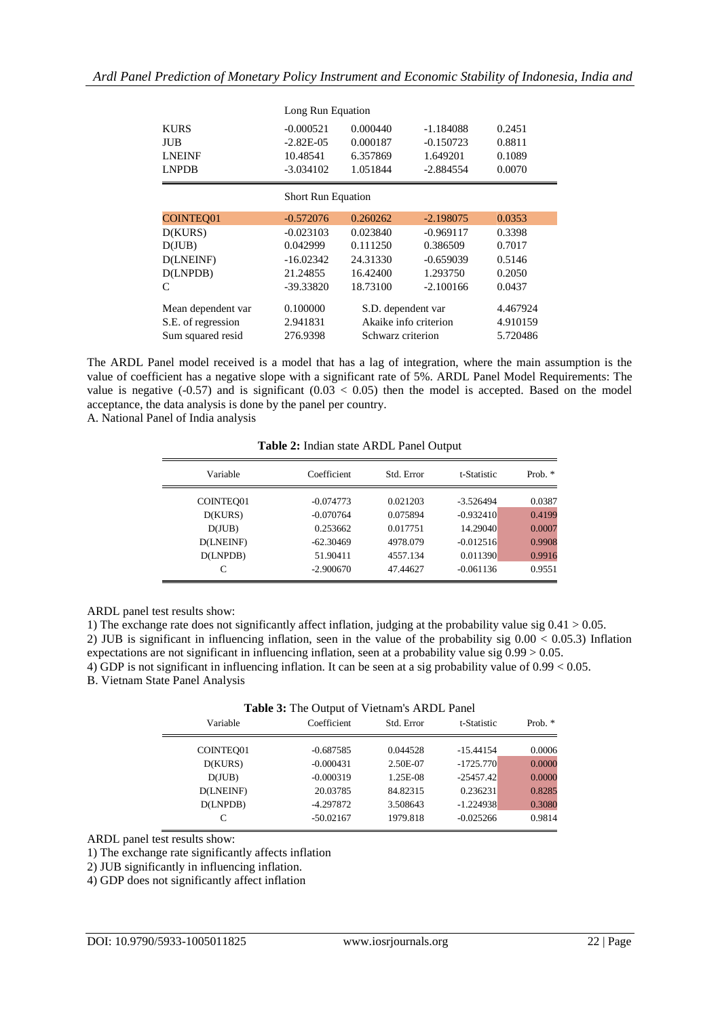|                    | Long Run Equation         |                       |             |          |  |  |
|--------------------|---------------------------|-----------------------|-------------|----------|--|--|
| <b>KURS</b>        | $-0.000521$               | 0.000440              | $-1.184088$ | 0.2451   |  |  |
| JUB                | $-2.82E-05$               | 0.000187              | $-0.150723$ | 0.8811   |  |  |
| <b>LNEINF</b>      | 10.48541                  | 6.357869              | 1.649201    | 0.1089   |  |  |
| <b>LNPDB</b>       | $-3.034102$               | 1.051844              | $-2.884554$ | 0.0070   |  |  |
|                    | <b>Short Run Equation</b> |                       |             |          |  |  |
| <b>COINTEO01</b>   | $-0.572076$               | 0.260262              | $-2.198075$ | 0.0353   |  |  |
| D(KURS)            | $-0.023103$               | 0.023840              | $-0.969117$ | 0.3398   |  |  |
| D(JUB)             | 0.042999                  | 0.111250              | 0.386509    | 0.7017   |  |  |
| D(LNEINF)          | $-16.02342$               | 24.31330              | $-0.659039$ | 0.5146   |  |  |
| D(LNPDB)           | 21.24855                  | 16.42400              | 1.293750    | 0.2050   |  |  |
| C                  | $-39.33820$               | 18.73100              | $-2.100166$ | 0.0437   |  |  |
| Mean dependent var | 0.100000                  | S.D. dependent var    |             | 4.467924 |  |  |
| S.E. of regression | 2.941831                  | Akaike info criterion |             | 4.910159 |  |  |
| Sum squared resid  | 276.9398                  | Schwarz criterion     |             | 5.720486 |  |  |

The ARDL Panel model received is a model that has a lag of integration, where the main assumption is the value of coefficient has a negative slope with a significant rate of 5%. ARDL Panel Model Requirements: The value is negative  $(-0.57)$  and is significant  $(0.03 < 0.05)$  then the model is accepted. Based on the model acceptance, the data analysis is done by the panel per country.

A. National Panel of India analysis

| Variable  | Coefficient | Std. Error | t-Statistic | Prob. $*$ |
|-----------|-------------|------------|-------------|-----------|
| COINTEO01 | $-0.074773$ | 0.021203   | $-3.526494$ | 0.0387    |
| D(KURS)   | $-0.070764$ | 0.075894   | $-0.932410$ | 0.4199    |
| D(JUB)    | 0.253662    | 0.017751   | 14.29040    | 0.0007    |
| D(LNEINF) | $-62.30469$ | 4978.079   | $-0.012516$ | 0.9908    |
| D(LNPDB)  | 51.90411    | 4557.134   | 0.011390    | 0.9916    |
|           | $-2.900670$ | 47.44627   | $-0.061136$ | 0.9551    |

**Table 2:** Indian state ARDL Panel Output

ARDL panel test results show:

1) The exchange rate does not significantly affect inflation, judging at the probability value sig 0.41 > 0.05. 2) JUB is significant in influencing inflation, seen in the value of the probability sig 0.00 < 0.05.3) Inflation expectations are not significant in influencing inflation, seen at a probability value sig 0.99 > 0.05.

4) GDP is not significant in influencing inflation. It can be seen at a sig probability value of 0.99 < 0.05.

B. Vietnam State Panel Analysis

| <b>THOICE.</b> The Surplie of Themains The B Failer |             |            |             |           |  |
|-----------------------------------------------------|-------------|------------|-------------|-----------|--|
| Variable                                            | Coefficient | Std. Error | t-Statistic | Prob. $*$ |  |
| COINTEO01                                           | $-0.687585$ | 0.044528   | $-15.44154$ | 0.0006    |  |
| D(KURS)                                             | $-0.000431$ | 2.50E-07   | $-1725.770$ | 0.0000    |  |
| D(JUB)                                              | $-0.000319$ | 1.25E-08   | $-25457.42$ | 0.0000    |  |
| D(LNEINF)                                           | 20.03785    | 84.82315   | 0.236231    | 0.8285    |  |
| D(LNPDB)                                            | $-4.297872$ | 3.508643   | $-1.224938$ | 0.3080    |  |
|                                                     | $-50.02167$ | 1979.818   | $-0.025266$ | 0.9814    |  |
|                                                     |             |            |             |           |  |

ARDL panel test results show:

1) The exchange rate significantly affects inflation

2) JUB significantly in influencing inflation.

4) GDP does not significantly affect inflation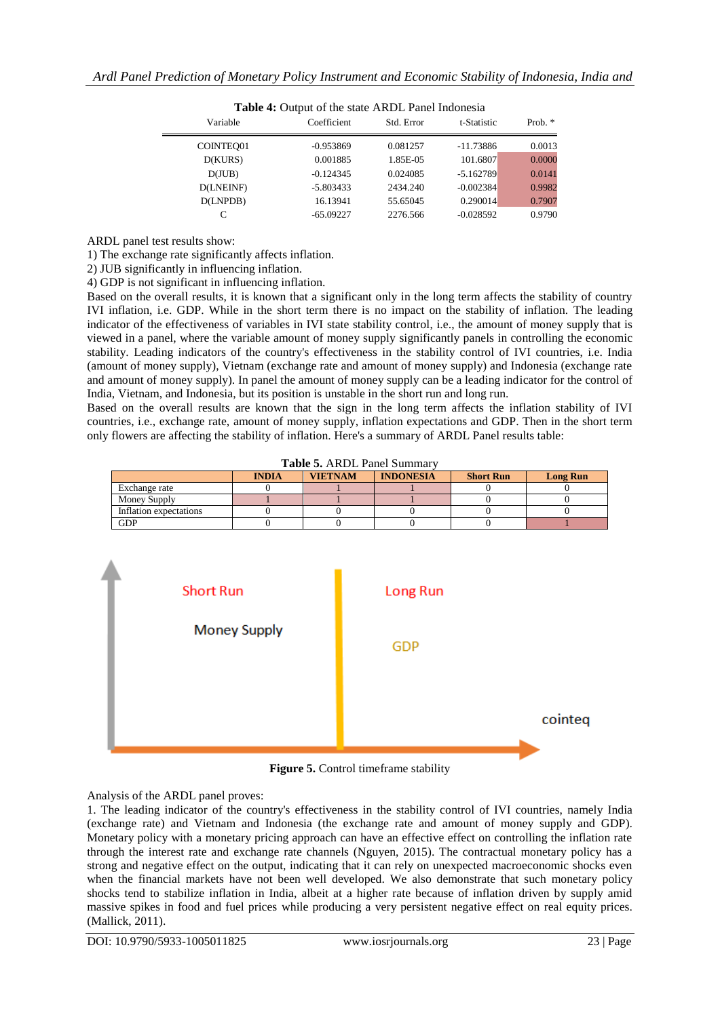| <b>Table 4.</b> Output of the state ANDL Failer modificate |             |            |             |           |  |
|------------------------------------------------------------|-------------|------------|-------------|-----------|--|
| Variable                                                   | Coefficient | Std. Error | t-Statistic | Prob. $*$ |  |
| COINTEO01                                                  | $-0.953869$ | 0.081257   | $-11.73886$ | 0.0013    |  |
| D(KURS)                                                    | 0.001885    | 1.85E-05   | 101.6807    | 0.0000    |  |
| D(JUB)                                                     | $-0.124345$ | 0.024085   | $-5.162789$ | 0.0141    |  |
| D(LNEINF)                                                  | $-5.803433$ | 2434.240   | $-0.002384$ | 0.9982    |  |
| D(LNPDB)                                                   | 16.13941    | 55.65045   | 0.290014    | 0.7907    |  |
|                                                            | $-65.09227$ | 2276.566   | $-0.028592$ | 0.9790    |  |

Toble 4: Output of the state ARDL Panel Indonesia

ARDL panel test results show:

1) The exchange rate significantly affects inflation.

2) JUB significantly in influencing inflation.

4) GDP is not significant in influencing inflation.

Based on the overall results, it is known that a significant only in the long term affects the stability of country IVI inflation, i.e. GDP. While in the short term there is no impact on the stability of inflation. The leading indicator of the effectiveness of variables in IVI state stability control, i.e., the amount of money supply that is viewed in a panel, where the variable amount of money supply significantly panels in controlling the economic stability. Leading indicators of the country's effectiveness in the stability control of IVI countries, i.e. India (amount of money supply), Vietnam (exchange rate and amount of money supply) and Indonesia (exchange rate and amount of money supply). In panel the amount of money supply can be a leading indicator for the control of India, Vietnam, and Indonesia, but its position is unstable in the short run and long run.

Based on the overall results are known that the sign in the long term affects the inflation stability of IVI countries, i.e., exchange rate, amount of money supply, inflation expectations and GDP. Then in the short term only flowers are affecting the stability of inflation. Here's a summary of ARDL Panel results table:

|                        | <b>INDIA</b> | <b>VIETNAM</b> | <b>INDONESIA</b> | <b>Short Run</b> | <b>Long Run</b> |
|------------------------|--------------|----------------|------------------|------------------|-----------------|
| Exchange rate          |              |                |                  |                  |                 |
| Money Supply           |              |                |                  |                  |                 |
| Inflation expectations |              |                |                  |                  |                 |
| GDP                    |              |                |                  |                  |                 |



**Figure 5.** Control timeframe stability

Analysis of the ARDL panel proves:

1. The leading indicator of the country's effectiveness in the stability control of IVI countries, namely India (exchange rate) and Vietnam and Indonesia (the exchange rate and amount of money supply and GDP). Monetary policy with a monetary pricing approach can have an effective effect on controlling the inflation rate through the interest rate and exchange rate channels (Nguyen, 2015). The contractual monetary policy has a strong and negative effect on the output, indicating that it can rely on unexpected macroeconomic shocks even when the financial markets have not been well developed. We also demonstrate that such monetary policy shocks tend to stabilize inflation in India, albeit at a higher rate because of inflation driven by supply amid massive spikes in food and fuel prices while producing a very persistent negative effect on real equity prices. (Mallick, 2011).

DOI: 10.9790/5933-1005011825 www.iosrjournals.org 23 | Page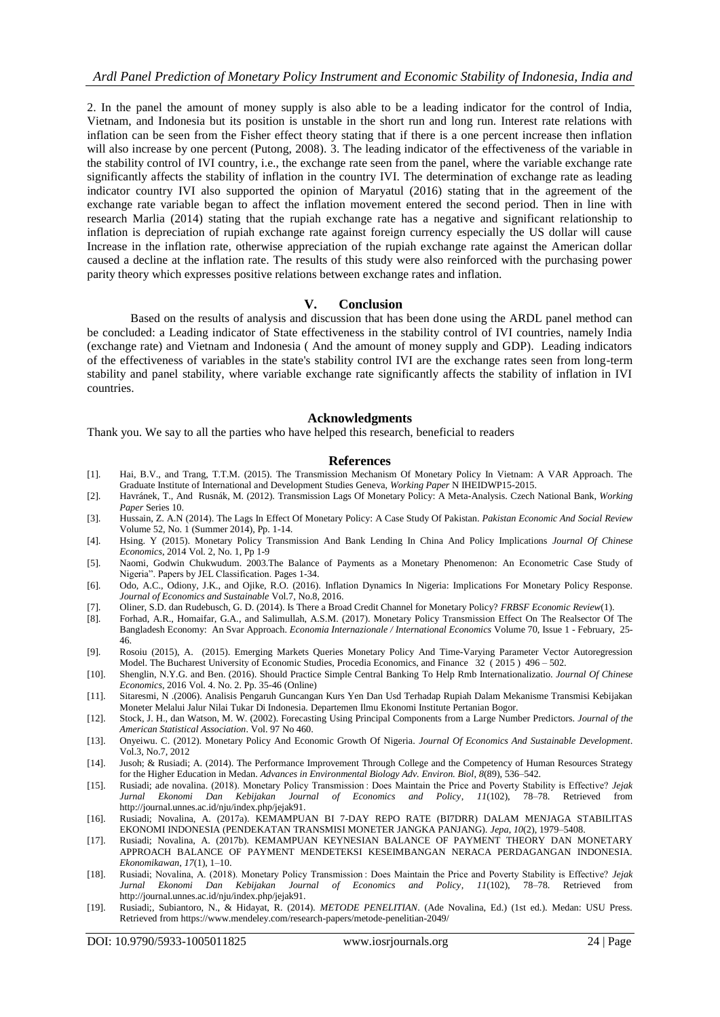2. In the panel the amount of money supply is also able to be a leading indicator for the control of India, Vietnam, and Indonesia but its position is unstable in the short run and long run. Interest rate relations with inflation can be seen from the Fisher effect theory stating that if there is a one percent increase then inflation will also increase by one percent (Putong, 2008). 3. The leading indicator of the effectiveness of the variable in the stability control of IVI country, i.e., the exchange rate seen from the panel, where the variable exchange rate significantly affects the stability of inflation in the country IVI. The determination of exchange rate as leading indicator country IVI also supported the opinion of Maryatul (2016) stating that in the agreement of the exchange rate variable began to affect the inflation movement entered the second period. Then in line with research Marlia (2014) stating that the rupiah exchange rate has a negative and significant relationship to inflation is depreciation of rupiah exchange rate against foreign currency especially the US dollar will cause Increase in the inflation rate, otherwise appreciation of the rupiah exchange rate against the American dollar caused a decline at the inflation rate. The results of this study were also reinforced with the purchasing power parity theory which expresses positive relations between exchange rates and inflation.

# **V. Conclusion**

Based on the results of analysis and discussion that has been done using the ARDL panel method can be concluded: a Leading indicator of State effectiveness in the stability control of IVI countries, namely India (exchange rate) and Vietnam and Indonesia ( And the amount of money supply and GDP). Leading indicators of the effectiveness of variables in the state's stability control IVI are the exchange rates seen from long-term stability and panel stability, where variable exchange rate significantly affects the stability of inflation in IVI countries.

#### **Acknowledgments**

Thank you. We say to all the parties who have helped this research, beneficial to readers

#### **References**

- [1]. Hai, B.V., and Trang, T.T.M. (2015). The Transmission Mechanism Of Monetary Policy In Vietnam: A VAR Approach. The Graduate Institute of International and Development Studies Geneva, *Working Paper* N IHEIDWP15-2015.
- [2]. Havránek, T., And Rusnák, M. (2012). Transmission Lags Of Monetary Policy: A Meta-Analysis. Czech National Bank, *Working Paper* Series 10.
- [3]. Hussain, Z. A.N (2014). The Lags In Effect Of Monetary Policy: A Case Study Of Pakistan. *Pakistan Economic And Social Review*  Volume 52, No. 1 (Summer 2014), Pp. 1-14.
- [4]. Hsing. Y (2015). Monetary Policy Transmission And Bank Lending In China And Policy Implications *Journal Of Chinese Economics*, 2014 Vol. 2, No. 1, Pp 1-9
- [5]. Naomi, Godwin Chukwudum. 2003.The Balance of Payments as a Monetary Phenomenon: An Econometric Case Study of Nigeria". Papers by JEL Classification. Pages 1-34.
- [6]. Odo, A.C., Odiony, J.K., and Ojike, R.O. (2016). Inflation Dynamics In Nigeria: Implications For Monetary Policy Response. *Journal of Economics and Sustainable* Vol.7, No.8, 2016.
- [7]. Oliner, S.D. dan Rudebusch, G. D. (2014). Is There a Broad Credit Channel for Monetary Policy? *FRBSF Economic Review*(1).
- [8]. Forhad, A.R., Homaifar, G.A., and Salimullah, A.S.M. (2017). Monetary Policy Transmission Effect On The Realsector Of The Bangladesh Economy: An Svar Approach. *Economia Internazionale / International Economics* Volume 70, Issue 1 - February, 25- 46.
- [9]. Rosoiu (2015), A. (2015). Emerging Markets Queries Monetary Policy And Time-Varying Parameter Vector Autoregression Model. The Bucharest University of Economic Studies, Procedia Economics, and Finance 32 ( 2015 ) 496 – 502.
- [10]. Shenglin, N.Y.G. and Ben. (2016). Should Practice Simple Central Banking To Help Rmb Internationalizatio. *Journal Of Chinese Economics*, 2016 Vol. 4. No. 2. Pp. 35-46 (Online)
- [11]. Sitaresmi, N .(2006). Analisis Pengaruh Guncangan Kurs Yen Dan Usd Terhadap Rupiah Dalam Mekanisme Transmisi Kebijakan Moneter Melalui Jalur Nilai Tukar Di Indonesia. Departemen Ilmu Ekonomi Institute Pertanian Bogor.
- [12]. Stock, J. H., dan Watson, M. W. (2002). Forecasting Using Principal Components from a Large Number Predictors. *Journal of the American Statistical Association*. Vol. 97 No 460.
- [13]. Onyeiwu. C. (2012). Monetary Policy And Economic Growth Of Nigeria. *Journal Of Economics And Sustainable Development*. Vol.3, No.7, 2012
- [14]. Jusoh; & Rusiadi; A. (2014). The Performance Improvement Through College and the Competency of Human Resources Strategy for the Higher Education in Medan. *Advances in Environmental Biology Adv. Environ. Biol*, *8*(89), 536–542.
- [15]. Rusiadi; ade novalina. (2018). Monetary Policy Transmission : Does Maintain the Price and Poverty Stability is Effective? *Jejak Jurnal Ekonomi Dan Kebijakan Journal of Economics and Policy*, *11*(102), 78–78. Retrieved from http://journal.unnes.ac.id/nju/index.php/jejak91.
- [16]. Rusiadi; Novalina, A. (2017a). KEMAMPUAN BI 7-DAY REPO RATE (BI7DRR) DALAM MENJAGA STABILITAS EKONOMI INDONESIA (PENDEKATAN TRANSMISI MONETER JANGKA PANJANG). *Jepa*, *10*(2), 1979–5408.
- [17]. Rusiadi; Novalina, A. (2017b). KEMAMPUAN KEYNESIAN BALANCE OF PAYMENT THEORY DAN MONETARY APPROACH BALANCE OF PAYMENT MENDETEKSI KESEIMBANGAN NERACA PERDAGANGAN INDONESIA. *Ekonomikawan*, *17*(1), 1–10.
- [18]. Rusiadi; Novalina, A. (2018). Monetary Policy Transmission : Does Maintain the Price and Poverty Stability is Effective? *Jejak Jurnal Ekonomi Dan Kebijakan Journal of Economics and Policy*, *11*(102), 78–78. Retrieved from http://journal.unnes.ac.id/nju/index.php/jejak91.
- [19]. Rusiadi;, Subiantoro, N., & Hidayat, R. (2014). *METODE PENELITIAN*. (Ade Novalina, Ed.) (1st ed.). Medan: USU Press. Retrieved from https://www.mendeley.com/research-papers/metode-penelitian-2049/